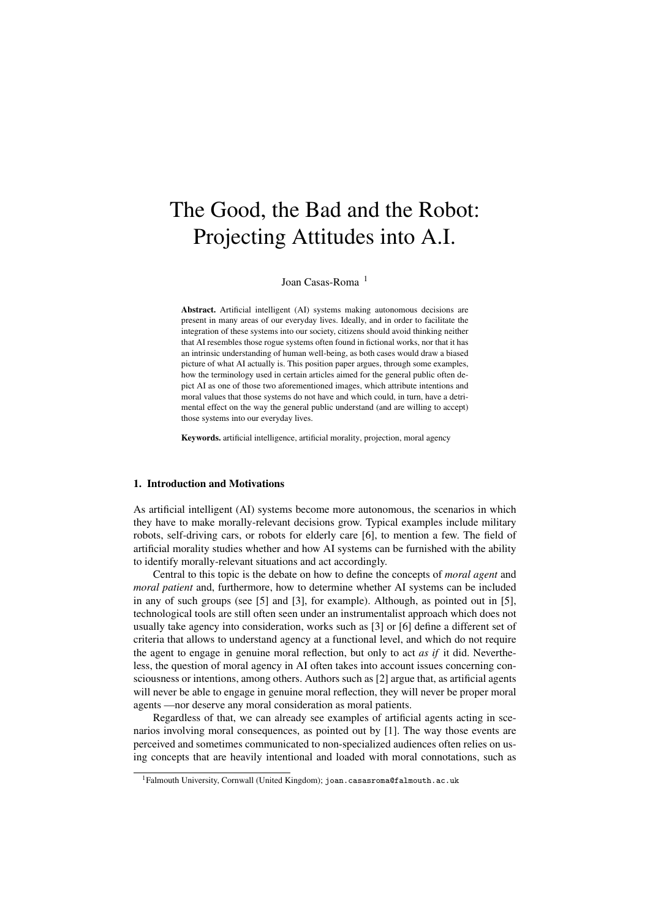# The Good, the Bad and the Robot: Projecting Attitudes into A.I.

Joan Casas-Roma<sup>1</sup>

Abstract. Artificial intelligent (AI) systems making autonomous decisions are present in many areas of our everyday lives. Ideally, and in order to facilitate the integration of these systems into our society, citizens should avoid thinking neither that AI resembles those rogue systems often found in fictional works, nor that it has an intrinsic understanding of human well-being, as both cases would draw a biased picture of what AI actually is. This position paper argues, through some examples, how the terminology used in certain articles aimed for the general public often depict AI as one of those two aforementioned images, which attribute intentions and moral values that those systems do not have and which could, in turn, have a detrimental effect on the way the general public understand (and are willing to accept) those systems into our everyday lives.

Keywords. artificial intelligence, artificial morality, projection, moral agency

# 1. Introduction and Motivations

As artificial intelligent (AI) systems become more autonomous, the scenarios in which they have to make morally-relevant decisions grow. Typical examples include military robots, self-driving cars, or robots for elderly care [6], to mention a few. The field of artificial morality studies whether and how AI systems can be furnished with the ability to identify morally-relevant situations and act accordingly.

Central to this topic is the debate on how to define the concepts of *moral agent* and *moral patient* and, furthermore, how to determine whether AI systems can be included in any of such groups (see [5] and [3], for example). Although, as pointed out in [5], technological tools are still often seen under an instrumentalist approach which does not usually take agency into consideration, works such as [3] or [6] define a different set of criteria that allows to understand agency at a functional level, and which do not require the agent to engage in genuine moral reflection, but only to act *as if* it did. Nevertheless, the question of moral agency in AI often takes into account issues concerning consciousness or intentions, among others. Authors such as [2] argue that, as artificial agents will never be able to engage in genuine moral reflection, they will never be proper moral agents —nor deserve any moral consideration as moral patients.

Regardless of that, we can already see examples of artificial agents acting in scenarios involving moral consequences, as pointed out by [1]. The way those events are perceived and sometimes communicated to non-specialized audiences often relies on using concepts that are heavily intentional and loaded with moral connotations, such as

 $^{1}$ Falmouth University, Cornwall (United Kingdom); joan.casasroma@falmouth.ac.uk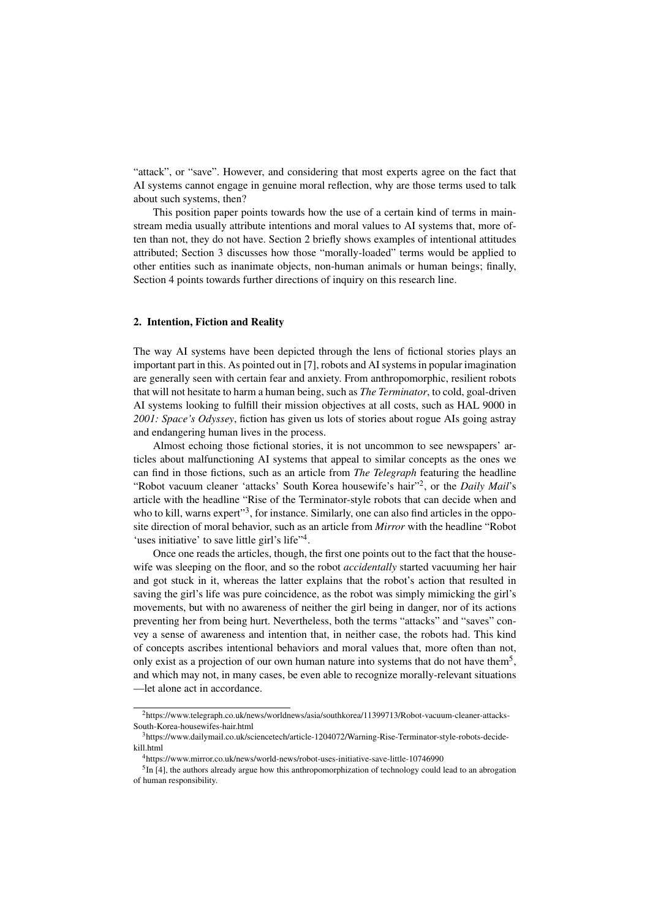"attack", or "save". However, and considering that most experts agree on the fact that AI systems cannot engage in genuine moral reflection, why are those terms used to talk about such systems, then?

This position paper points towards how the use of a certain kind of terms in mainstream media usually attribute intentions and moral values to AI systems that, more often than not, they do not have. Section 2 briefly shows examples of intentional attitudes attributed; Section 3 discusses how those "morally-loaded" terms would be applied to other entities such as inanimate objects, non-human animals or human beings; finally, Section 4 points towards further directions of inquiry on this research line.

### 2. Intention, Fiction and Reality

The way AI systems have been depicted through the lens of fictional stories plays an important part in this. As pointed out in [7], robots and AI systems in popular imagination are generally seen with certain fear and anxiety. From anthropomorphic, resilient robots that will not hesitate to harm a human being, such as *The Terminator*, to cold, goal-driven AI systems looking to fulfill their mission objectives at all costs, such as HAL 9000 in *2001: Space's Odyssey*, fiction has given us lots of stories about rogue AIs going astray and endangering human lives in the process.

Almost echoing those fictional stories, it is not uncommon to see newspapers' articles about malfunctioning AI systems that appeal to similar concepts as the ones we can find in those fictions, such as an article from *The Telegraph* featuring the headline "Robot vacuum cleaner 'attacks' South Korea housewife's hair"<sup>2</sup>, or the *Daily Mail's* article with the headline "Rise of the Terminator-style robots that can decide when and who to kill, warns expert"<sup>3</sup>, for instance. Similarly, one can also find articles in the opposite direction of moral behavior, such as an article from *Mirror* with the headline "Robot 'uses initiative' to save little girl's life"<sup>4</sup>.

Once one reads the articles, though, the first one points out to the fact that the housewife was sleeping on the floor, and so the robot *accidentally* started vacuuming her hair and got stuck in it, whereas the latter explains that the robot's action that resulted in saving the girl's life was pure coincidence, as the robot was simply mimicking the girl's movements, but with no awareness of neither the girl being in danger, nor of its actions preventing her from being hurt. Nevertheless, both the terms "attacks" and "saves" convey a sense of awareness and intention that, in neither case, the robots had. This kind of concepts ascribes intentional behaviors and moral values that, more often than not, only exist as a projection of our own human nature into systems that do not have them<sup>5</sup>, and which may not, in many cases, be even able to recognize morally-relevant situations

—let alone act in accordance.

<sup>2</sup>https://www.telegraph.co.uk/news/worldnews/asia/southkorea/11399713/Robot-vacuum-cleaner-attacks-South-Korea-housewifes-hair.html

<sup>3</sup>https://www.dailymail.co.uk/sciencetech/article-1204072/Warning-Rise-Terminator-style-robots-decidekill.html

<sup>4</sup>https://www.mirror.co.uk/news/world-news/robot-uses-initiative-save-little-10746990

<sup>&</sup>lt;sup>5</sup>In [4], the authors already argue how this anthropomorphization of technology could lead to an abrogation of human responsibility.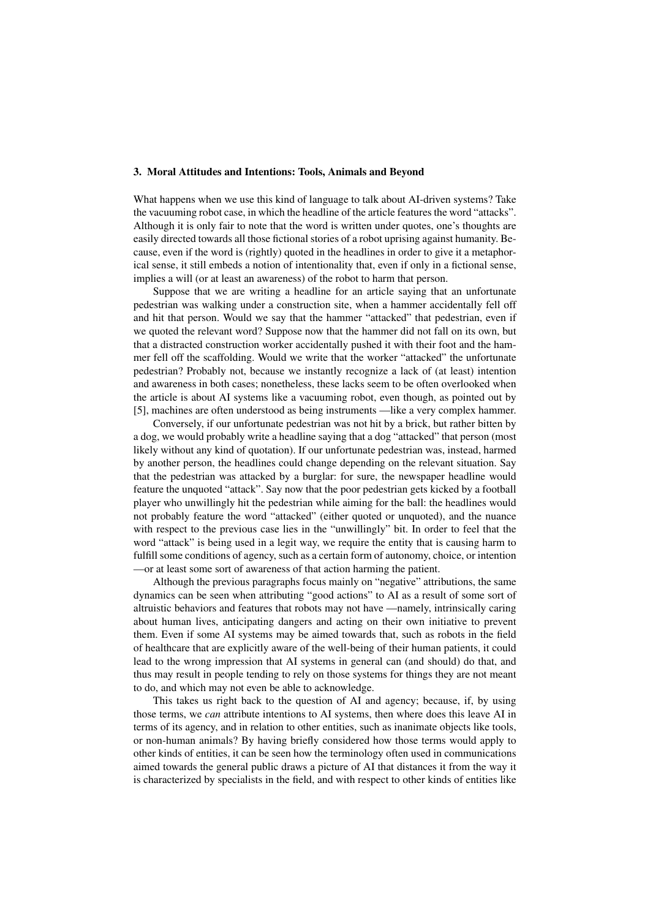## 3. Moral Attitudes and Intentions: Tools, Animals and Beyond

What happens when we use this kind of language to talk about AI-driven systems? Take the vacuuming robot case, in which the headline of the article features the word "attacks". Although it is only fair to note that the word is written under quotes, one's thoughts are easily directed towards all those fictional stories of a robot uprising against humanity. Because, even if the word is (rightly) quoted in the headlines in order to give it a metaphorical sense, it still embeds a notion of intentionality that, even if only in a fictional sense, implies a will (or at least an awareness) of the robot to harm that person.

Suppose that we are writing a headline for an article saying that an unfortunate pedestrian was walking under a construction site, when a hammer accidentally fell off and hit that person. Would we say that the hammer "attacked" that pedestrian, even if we quoted the relevant word? Suppose now that the hammer did not fall on its own, but that a distracted construction worker accidentally pushed it with their foot and the hammer fell off the scaffolding. Would we write that the worker "attacked" the unfortunate pedestrian? Probably not, because we instantly recognize a lack of (at least) intention and awareness in both cases; nonetheless, these lacks seem to be often overlooked when the article is about AI systems like a vacuuming robot, even though, as pointed out by [5], machines are often understood as being instruments —like a very complex hammer.

Conversely, if our unfortunate pedestrian was not hit by a brick, but rather bitten by a dog, we would probably write a headline saying that a dog "attacked" that person (most likely without any kind of quotation). If our unfortunate pedestrian was, instead, harmed by another person, the headlines could change depending on the relevant situation. Say that the pedestrian was attacked by a burglar: for sure, the newspaper headline would feature the unquoted "attack". Say now that the poor pedestrian gets kicked by a football player who unwillingly hit the pedestrian while aiming for the ball: the headlines would not probably feature the word "attacked" (either quoted or unquoted), and the nuance with respect to the previous case lies in the "unwillingly" bit. In order to feel that the word "attack" is being used in a legit way, we require the entity that is causing harm to fulfill some conditions of agency, such as a certain form of autonomy, choice, or intention —or at least some sort of awareness of that action harming the patient.

Although the previous paragraphs focus mainly on "negative" attributions, the same dynamics can be seen when attributing "good actions" to AI as a result of some sort of altruistic behaviors and features that robots may not have —namely, intrinsically caring about human lives, anticipating dangers and acting on their own initiative to prevent them. Even if some AI systems may be aimed towards that, such as robots in the field of healthcare that are explicitly aware of the well-being of their human patients, it could lead to the wrong impression that AI systems in general can (and should) do that, and thus may result in people tending to rely on those systems for things they are not meant to do, and which may not even be able to acknowledge.

This takes us right back to the question of AI and agency; because, if, by using those terms, we *can* attribute intentions to AI systems, then where does this leave AI in terms of its agency, and in relation to other entities, such as inanimate objects like tools, or non-human animals? By having briefly considered how those terms would apply to other kinds of entities, it can be seen how the terminology often used in communications aimed towards the general public draws a picture of AI that distances it from the way it is characterized by specialists in the field, and with respect to other kinds of entities like